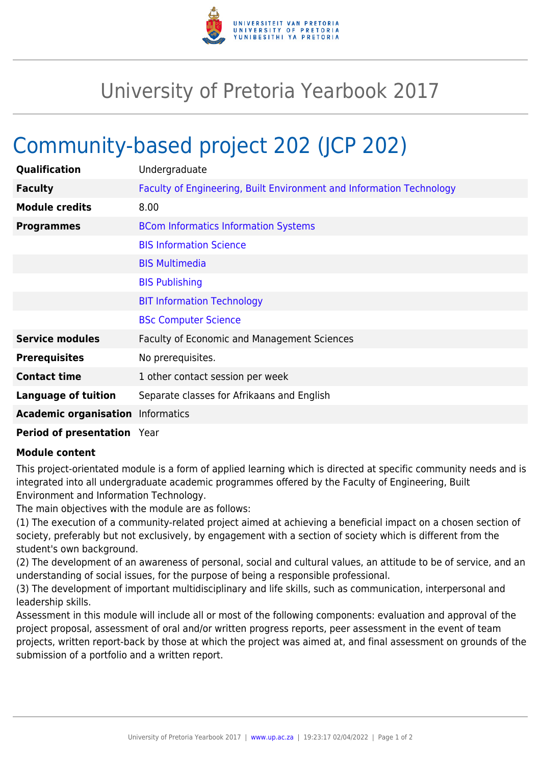

## University of Pretoria Yearbook 2017

## Community-based project 202 (JCP 202)

| Qualification                            | Undergraduate                                                        |
|------------------------------------------|----------------------------------------------------------------------|
| <b>Faculty</b>                           | Faculty of Engineering, Built Environment and Information Technology |
| <b>Module credits</b>                    | 8.00                                                                 |
| <b>Programmes</b>                        | <b>BCom Informatics Information Systems</b>                          |
|                                          | <b>BIS Information Science</b>                                       |
|                                          | <b>BIS Multimedia</b>                                                |
|                                          | <b>BIS Publishing</b>                                                |
|                                          | <b>BIT Information Technology</b>                                    |
|                                          | <b>BSc Computer Science</b>                                          |
| <b>Service modules</b>                   | <b>Faculty of Economic and Management Sciences</b>                   |
| <b>Prerequisites</b>                     | No prerequisites.                                                    |
| <b>Contact time</b>                      | 1 other contact session per week                                     |
| <b>Language of tuition</b>               | Separate classes for Afrikaans and English                           |
| <b>Academic organisation</b> Informatics |                                                                      |
|                                          |                                                                      |

**Period of presentation** Year

## **Module content**

This project-orientated module is a form of applied learning which is directed at specific community needs and is integrated into all undergraduate academic programmes offered by the Faculty of Engineering, Built Environment and Information Technology.

The main objectives with the module are as follows:

(1) The execution of a community-related project aimed at achieving a beneficial impact on a chosen section of society, preferably but not exclusively, by engagement with a section of society which is different from the student's own background.

(2) The development of an awareness of personal, social and cultural values, an attitude to be of service, and an understanding of social issues, for the purpose of being a responsible professional.

(3) The development of important multidisciplinary and life skills, such as communication, interpersonal and leadership skills.

Assessment in this module will include all or most of the following components: evaluation and approval of the project proposal, assessment of oral and/or written progress reports, peer assessment in the event of team projects, written report-back by those at which the project was aimed at, and final assessment on grounds of the submission of a portfolio and a written report.